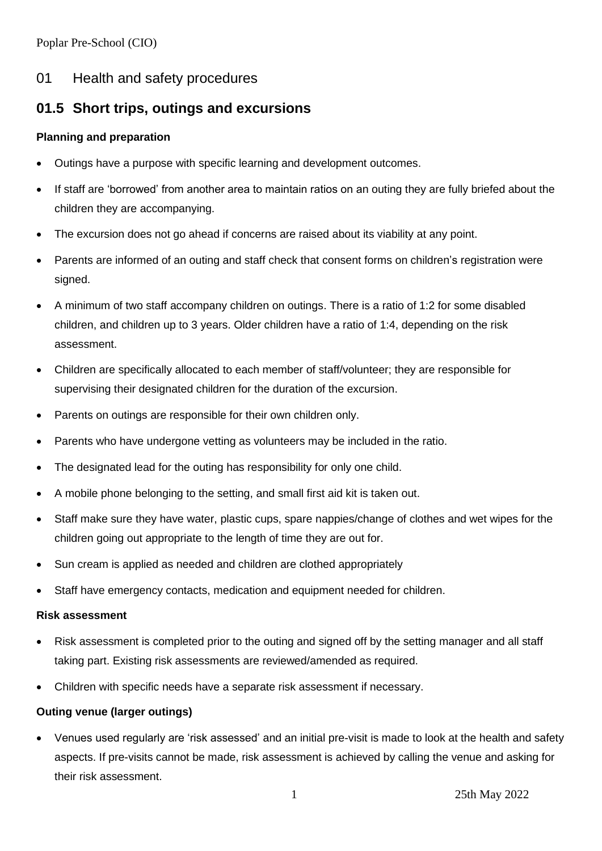Poplar Pre-School (CIO)

## 01 Health and safety procedures

# **01.5 Short trips, outings and excursions**

#### **Planning and preparation**

- Outings have a purpose with specific learning and development outcomes.
- If staff are 'borrowed' from another area to maintain ratios on an outing they are fully briefed about the children they are accompanying.
- The excursion does not go ahead if concerns are raised about its viability at any point.
- Parents are informed of an outing and staff check that consent forms on children's registration were signed.
- A minimum of two staff accompany children on outings. There is a ratio of 1:2 for some disabled children, and children up to 3 years. Older children have a ratio of 1:4, depending on the risk assessment.
- Children are specifically allocated to each member of staff/volunteer; they are responsible for supervising their designated children for the duration of the excursion.
- Parents on outings are responsible for their own children only.
- Parents who have undergone vetting as volunteers may be included in the ratio.
- The designated lead for the outing has responsibility for only one child.
- A mobile phone belonging to the setting, and small first aid kit is taken out.
- Staff make sure they have water, plastic cups, spare nappies/change of clothes and wet wipes for the children going out appropriate to the length of time they are out for.
- Sun cream is applied as needed and children are clothed appropriately
- Staff have emergency contacts, medication and equipment needed for children.

#### **Risk assessment**

- Risk assessment is completed prior to the outing and signed off by the setting manager and all staff taking part. Existing risk assessments are reviewed/amended as required.
- Children with specific needs have a separate risk assessment if necessary.

#### **Outing venue (larger outings)**

• Venues used regularly are 'risk assessed' and an initial pre-visit is made to look at the health and safety aspects. If pre-visits cannot be made, risk assessment is achieved by calling the venue and asking for their risk assessment.